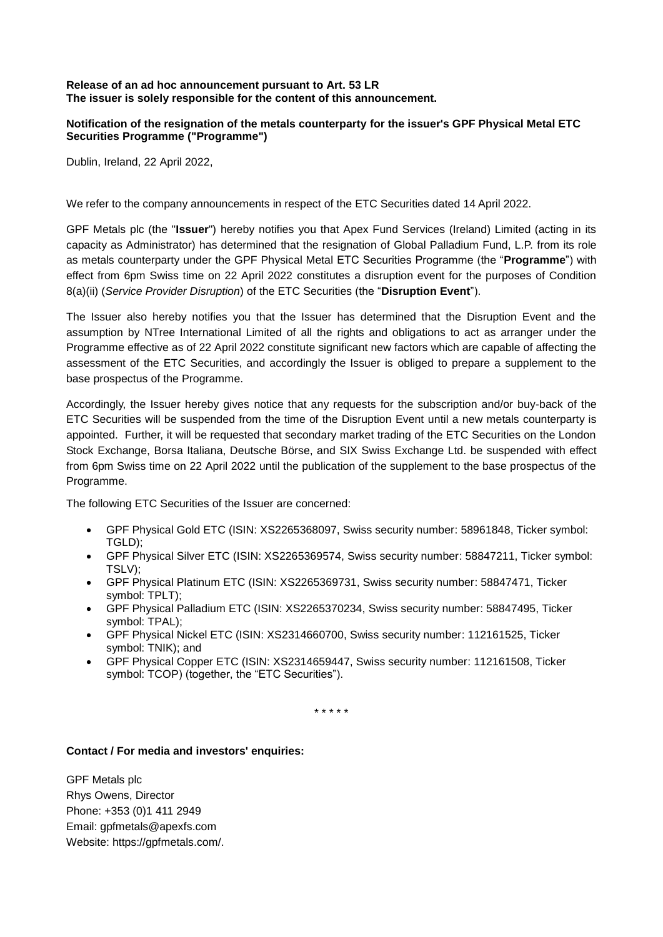## **Release of an ad hoc announcement pursuant to Art. 53 LR The issuer is solely responsible for the content of this announcement.**

## **Notification of the resignation of the metals counterparty for the issuer's GPF Physical Metal ETC Securities Programme ("Programme")**

Dublin, Ireland, 22 April 2022,

We refer to the company announcements in respect of the ETC Securities dated 14 April 2022.

GPF Metals plc (the "**Issuer**") hereby notifies you that Apex Fund Services (Ireland) Limited (acting in its capacity as Administrator) has determined that the resignation of Global Palladium Fund, L.P. from its role as metals counterparty under the GPF Physical Metal ETC Securities Programme (the "**Programme**") with effect from 6pm Swiss time on 22 April 2022 constitutes a disruption event for the purposes of Condition 8(a)(ii) (*Service Provider Disruption*) of the ETC Securities (the "**Disruption Event**").

The Issuer also hereby notifies you that the Issuer has determined that the Disruption Event and the assumption by NTree International Limited of all the rights and obligations to act as arranger under the Programme effective as of 22 April 2022 constitute significant new factors which are capable of affecting the assessment of the ETC Securities, and accordingly the Issuer is obliged to prepare a supplement to the base prospectus of the Programme.

Accordingly, the Issuer hereby gives notice that any requests for the subscription and/or buy-back of the ETC Securities will be suspended from the time of the Disruption Event until a new metals counterparty is appointed. Further, it will be requested that secondary market trading of the ETC Securities on the London Stock Exchange, Borsa Italiana, Deutsche Börse, and SIX Swiss Exchange Ltd. be suspended with effect from 6pm Swiss time on 22 April 2022 until the publication of the supplement to the base prospectus of the Programme.

The following ETC Securities of the Issuer are concerned:

- GPF Physical Gold ETC (ISIN: XS2265368097, Swiss security number: 58961848, Ticker symbol: TGLD);
- GPF Physical Silver ETC (ISIN: XS2265369574, Swiss security number: 58847211, Ticker symbol: TSLV);
- GPF Physical Platinum ETC (ISIN: XS2265369731, Swiss security number: 58847471, Ticker symbol: TPLT);
- GPF Physical Palladium ETC (ISIN: XS2265370234, Swiss security number: 58847495, Ticker symbol: TPAL);
- GPF Physical Nickel ETC (ISIN: XS2314660700, Swiss security number: 112161525, Ticker symbol: TNIK); and
- GPF Physical Copper ETC (ISIN: XS2314659447, Swiss security number: 112161508, Ticker symbol: TCOP) (together, the "ETC Securities").

\* \* \* \* \*

## **Contact / For media and investors' enquiries:**

GPF Metals plc Rhys Owens, Director Phone: +353 (0)1 411 2949 Email: [gpfmetals@apexfs.com](mailto:gpfmetals@apexfs.com) Website: https://gpfmetals.com/.